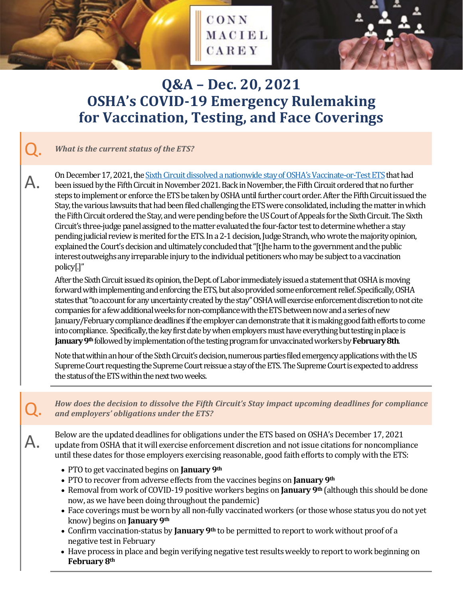

CONN

MACIEL

CAREY

#### Q. *What is the current status of the ETS?*

On December 17, 2021, the <u>Sixth Circuit dissolved a nationwide stay of OSHA's Vaccinate-or-Test ETS</u> that had been issued by the Fifth Circuit in November 2021. Back in November, the Fifth Circuit ordered that no further steps to implement or enforce the ETS be taken by OSHA until further court order. After the Fifth Circuit issued the Stay, the various lawsuits that had been filed challenging the ETS were consolidated, including the matter in which the Fifth Circuit ordered the Stay, and were pending before the US Court of Appeals for the Sixth Circuit. The Sixth Circuit's three-judge panel assigned to the matter evaluated the four-factor test to determine whether a stay pending judicial review is merited for the ETS. In a 2-1 decision, Judge Stranch, who wrote the majority opinion, explained the Court's decision and ultimately concluded that "[t]he harm to the government and the public interest outweighs any irreparable injury to the individual petitioners who may be subject to a vaccination policy[.]"

After the Sixth Circuit issued its opinion, the Dept. of Labor immediately issued a statement that OSHA is moving forward with implementing and enforcing the ETS, but also provided some enforcement relief. Specifically, OSHA states that "to account for any uncertainty created by the stay" OSHA will exercise enforcement discretion to not cite companies for a few additional weeks for non-compliance with the ETS between now and a series of new January/February compliance deadlines if the employer can demonstrate that it is making good faith efforts to come into compliance. Specifically, the key first date by when employers must have everything but testing in place is **January 9th**followed by implementation of the testing program for unvaccinated workers by **February 8th**.

Note that within an hour of the Sixth Circuit's decision, numerous parties filed emergency applications with the US Supreme Court requesting the Supreme Court reissue a stay of the ETS. The Supreme Court is expected to address the status of the ETS within the next two weeks.

Q. *How does the decision to dissolve the Fifth Circuit's Stay impact upcoming deadlines for compliance and employers' obligations under the ETS?*

Below are the updated deadlines for obligations under the ETS based on OSHA's December 17, 2021<br>applicance update from OSHA that it will exercise enforcement discretion and not issue citations for noncompliance until these dates for those employers exercising reasonable, good faith efforts to comply with the ETS:

- PTO to get vaccinated begins on **January 9th**
- PTO to recover from adverse effects from the vaccines begins on **January 9th**
- Removal from work of COVID-19 positive workers begins on **January 9th** (although this should be done now, as we have been doing throughout the pandemic)
- Face coverings must be worn by all non-fully vaccinated workers (or those whose status you do not yet know) begins on **January 9th**
- Confirm vaccination-status by **January 9th** to be permitted to report to work without proof of a negative test in February
- Have process in place and begin verifying negative test results weekly to report to work beginning on **February 8th**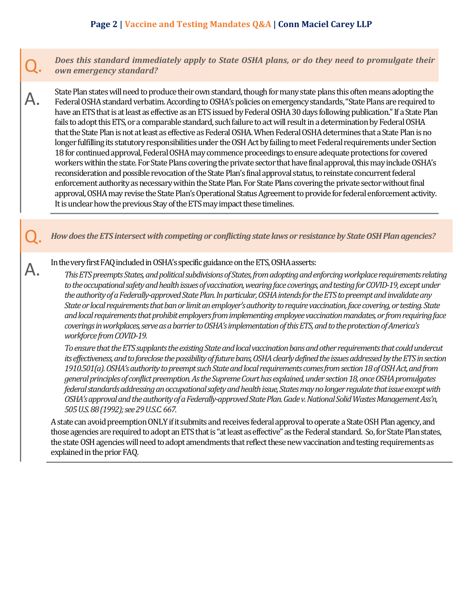Does this standard immediately apply to State OSHA plans, or do they need to promulgate their *own emergency standard?*

State Plan states will need to produce their own standard, though for many state plans this often means adopting the<br>Federal OSHA standard verbatim. According to OSHA's policies on emergency standards, "State Plans are req have an ETS that is at least as effective as an ETS issued by Federal OSHA 30 days following publication." If a State Plan fails to adopt this ETS, or a comparable standard, such failure to act will result in a determination by Federal OSHA that the State Plan is not at least as effective as Federal OSHA. When Federal OSHA determines that a State Plan is no longer fulfilling its statutory responsibilities under the OSH Act by failing to meet Federal requirements under Section 18 for continued approval, Federal OSHA may commence proceedings to ensure adequate protections for covered workers within the state. For State Plans covering the private sector that have final approval, this may include OSHA's reconsideration andpossible revocation of the State Plan's final approval status, to reinstate concurrent federal enforcement authority as necessary within the State Plan. For State Plans covering the private sector without final approval, OSHA may revise the State Plan's Operational Status Agreement to provide for federal enforcement activity. It is unclear how the previous Stay of the ETS may impact these timelines.

Q. *How does the ETS intersect with competing or conflicting state laws or resistance by State OSH Plan agencies?*

In the very first FAQ included in OSHA's specific guidance on the ETS, OSHA asserts:<br>This ETS preempts States, and political subdivisions of States, from adopting and enforcing workplace requirements relating *to the occupational safety and health issues of vaccination, wearing face coverings, and testing for COVID-19, except under the authority of a Federally-approved State Plan. In particular, OSHA intends for the ETS to preempt and invalidate any State or local requirements that ban or limit an employer's authority to require vaccination, face covering, or testing. State and local requirements that prohibit employers from implementing employee vaccination mandates, or from requiring face coverings in workplaces, serve as a barrier to OSHA's implementation of this ETS, and to the protection of America's workforce from COVID-19.*

*To ensure that the ETS supplants the existing State and local vaccination bans and other requirements that could undercut its effectiveness, and to foreclose the possibility of future bans, OSHA clearly defined the issues addressed by the ETS in section 1910.501(a). OSHA's authority to preempt such State and local requirements comes from section 18 of OSH Act, and from general principles of conflict preemption. As the Supreme Court has explained, under section 18, once OSHA promulgates federal standards addressing an occupational safety and health issue, States may no longer regulate that issue except with OSHA's approval and the authority of a Federally-approved State Plan.Gade v. National Solid Wastes Management Ass'n, 505 U.S. 88 (1992);see29 U.S.C. 667.*

A state can avoid preemption ONLY if it submits and receives federal approval to operate a State OSH Plan agency, and those agencies are required to adopt an ETS that is "at least as effective" as the Federal standard. So, for State Plan states, the state OSH agencies will need to adopt amendments that reflect these new vaccination and testing requirements as explained in the prior FAQ.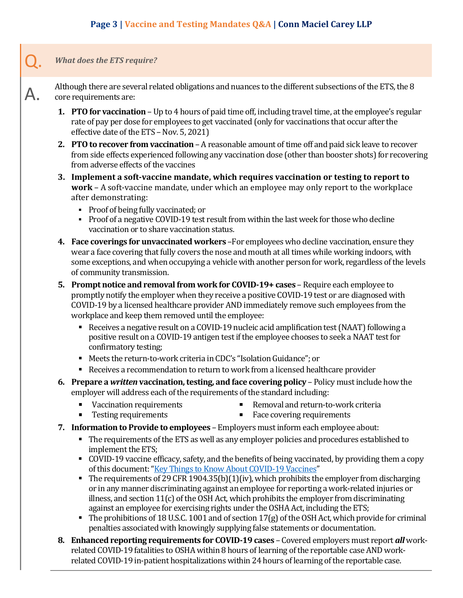## Q. *What does the ETS require?*

Although there are several related obligations and nuances to the different subsections of the ETS, the 8<br>
core requirements are: core requirements are:

- **1. PTO for vaccination** Up to 4 hours of paid time off, including travel time, at the employee's regular rate of pay per dose for employees to get vaccinated (only for vaccinations that occur after the effective date of the ETS - Nov. 5, 2021)
- **2. PTO to recover from vaccination** A reasonable amount of time off and paid sick leave to recover from side effects experienced following any vaccination dose (other than booster shots) for recovering from adverse effects of the vaccines
- **3. Implement a soft-vaccine mandate, which requires vaccination or testing to report to work** – A soft-vaccine mandate, under which an employee may only report to the workplace after demonstrating:
	- Proof of being fully vaccinated; or
	- Proof of a negative COVID-19 test result from within the last week for those who decline vaccination or to share vaccination status.
- **4. Face coverings for unvaccinated workers** –For employees who decline vaccination, ensure they wear a face covering that fully covers the nose and mouth at all times while working indoors, with some exceptions, and when occupying a vehicle with another person for work, regardless of the levels of community transmission.
- **5. Prompt notice and removal from work for COVID-19+ cases** Require each employee to promptly notify the employer when they receive a positive COVID-19 test or are diagnosed with COVID-19 by a licensed healthcare provider AND immediately remove such employees from the workplace and keep them removed until the employee:
	- Receives a negative result on a COVID-19 nucleic acid amplification test (NAAT) following a positive result on a COVID-19 antigen test if the employee chooses to seek a NAAT test for confirmatory testing;
	- Meets the return-to-work criteria in CDC's "Isolation Guidance"; or
	- Receives a recommendation to return to work from a licensed healthcare provider
- **6. Prepare a** *written* **vaccination, testing, and face covering policy** Policy must include how the employer will address each of the requirements of the standard including:
	- **Vaccination requirements**
- Removal and return-to-work criteria<br>Face covering requirements
- **Testing requirements**
- Face covering requirements
- **7. Information to Provide to employees** Employers must inform each employee about:
	- The requirements of the ETS as well as any employer policies and procedures established to implement the ETS;
	- COVID-19 vaccine efficacy, safety, and the benefits of being vaccinated, by providing them a copy of this document: ["Key Things to Know About COVID-19 Vaccines"](https://www.cdc.gov/coronavirus/2019-ncov/vaccines/keythingstoknow.html)
	- The requirements of 29 CFR 1904.35(b)(1)(iv), which prohibits the employer from discharging or in any manner discriminating against an employee for reporting a work-related injuries or illness, and section 11(c) of the OSH Act, which prohibits the employer from discriminating against an employee for exercising rights under the OSHA Act, including the ETS;
	- The prohibitions of 18 U.S.C. 1001 and of section  $17(g)$  of the OSH Act, which provide for criminal penalties associated with knowingly supplying false statements or documentation.
- **8. Enhanced reporting requirements for COVID-19 cases**  Covered employers must report *all* workrelated COVID-19 fatalities to OSHA within 8 hours of learning of the reportable case AND workrelated COVID-19 in-patient hospitalizations within 24 hours of learning of the reportable case.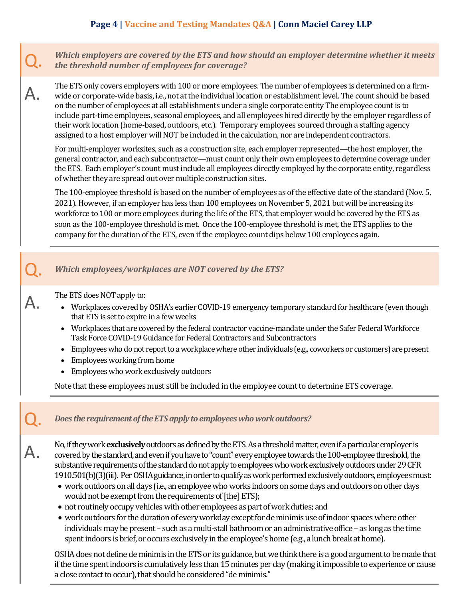Q. *Which employers are covered by the ETS and how should an employer determine whether it meets the threshold number of employees for coverage?*

The ETS only covers employers with 100 or more employees. The number of employees is determined on a firm-<br>wide or corporate-wide basis, i.e., not at the individual location or establishment level. The count should be base on the number of employees at all establishments under a single corporate entity The employee count is to include part-time employees, seasonal employees, and all employees hired directly by the employer regardless of their work location (home-based, outdoors, etc.). Temporary employees sourced through a staffing agency assigned to a host employer will NOT be included in the calculation, nor are independent contractors.

For multi-employer worksites, such as a construction site, each employer represented—the host employer, the general contractor, and each subcontractor—must count only their own employees to determine coverage under the ETS. Each employer's count must include all employees directly employed by the corporate entity, regardless of whether they are spread out over multiple construction sites.

The 100-employee threshold is based on the number of employees as of the effective date of the standard (Nov. 5, 2021). However, if an employer has less than 100 employees on November 5, 2021 but will be increasing its workforce to 100 or more employees during the life of the ETS, that employer would be covered by the ETS as soon as the 100-employee threshold is met. Once the 100-employee threshold is met, the ETS applies to the company for the duration of the ETS, even if the employee count dips below 100 employees again.

## Q. *Which employees/workplaces are NOT covered by the ETS?*

- The ETS does NOT apply to:<br>• Workplaces covered by OSHA's earlier COVID-19 emergency temporary standard for healthcare (even though that ETS is set to expire in a few weeks
	- Workplaces that are covered by the federal contractor vaccine-mandate under the Safer Federal Workforce Task Force COVID-19 Guidance for Federal Contractors and Subcontractors
	- Employees who do not report to a workplace where other individuals (e.g., coworkers or customers) are present
	- Employees working from home
	- Employees who work exclusively outdoors

Note that these employees must still be included in the employee count to determine ETS coverage.

## Q. *Does the requirement of the ETS apply to employees who work outdoors?*

No, if they work **exclusively** outdoors as defined by the ETS. As a threshold matter, even if a particular employer is covered by the standard, and even if you have to "count" every employee towards the 100-employee thresh substantive requirements of the standard do not apply to employees who work exclusively outdoors under 29 CFR 1910.501(b)(3)(iii). Per OSHA guidance, in order to qualify as work performed exclusively outdoors, employees must:

- work outdoors on all days (i.e., an employee who works indoors on some days and outdoors on other days would not be exempt from the requirements of [the] ETS);
- not routinely occupy vehicles with other employees as part of work duties; and
- work outdoors for the duration of every workday except for de minimis use of indoor spaces where other individuals may be present – such as a multi-stall bathroom or an administrative office – as long as the time spent indoors is brief, or occurs exclusively in the employee's home (e.g., a lunch break at home).

OSHA does not define de minimis in the ETS or its guidance, but we think there is a good argument to be made that if the time spent indoors is cumulatively less than 15 minutes per day (making it impossible to experience or cause a close contact to occur), that should be considered "de minimis."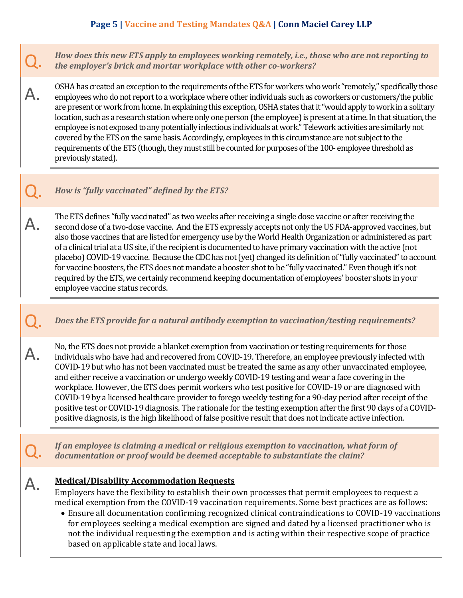# **Page 5 | Vaccine and Testing Mandates Q&A | Conn Maciel Carey LLP**

Q. *How does this new ETS apply to employees working remotely, i.e., those who are not reporting to the employer's brick and mortar workplace with other co-workers?*

OSHA has created an exception to the requirements of the ETS for workers who work "remotely," specifically those<br>A. employees who do not report to a workplace where other individuals such as coworkers or customers/the pub are present or work from home. In explaining this exception, OSHA states that it "would apply to work in a solitary location, such as a research station where only one person (the employee) is present at a time. In that situation, the employee is not exposed to any potentially infectious individuals at work." Telework activities are similarly not covered by the ETS on the same basis. Accordingly, employees in this circumstance are not subject to the requirements of the ETS (though, they must still be counted for purposes of the 100- employee threshold as previously stated).

## Q. *How is "fully vaccinated" defined by the ETS?*

The ETS defines "fully vaccinated" as two weeks after receiving a single dose vaccine or after receiving the second dose of a two-dose vaccine. And the ETS expressly accepts not only the US FDA-approved vaccines, but also those vaccines that are listed for emergency use by the World Health Organization or administered as part of a clinical trial at a US site, if the recipient is documented to have primary vaccination with the active (not placebo) COVID-19 vaccine. Because the CDC has not (yet) changed its definition of "fully vaccinated" to account for vaccine boosters, the ETS does not mandate a booster shot to be "fully vaccinated." Even though it's not required by the ETS, we certainly recommend keeping documentation of employees' booster shots in your employee vaccine status records.

#### Q. *Does the ETS provide for a natural antibody exemption to vaccination/testing requirements?*

No, the ETS does not provide a blanket exemption from vaccination or testing requirements for those<br>individuals who have had and recovered from COVID-19. Therefore, an employee previously infected with COVID-19 but who has not been vaccinated must be treated the same as any other unvaccinated employee, and either receive a vaccination or undergo weekly COVID-19 testing and wear a face covering in the workplace. However, the ETS does permit workers who test positive for COVID-19 or are diagnosed with COVID-19 by a licensed healthcare provider to forego weekly testing for a 90-day period after receipt of the positive test or COVID-19 diagnosis. The rationale for the testing exemption after the first 90 days of a COVIDpositive diagnosis, is the high likelihood of false positive result that does not indicate active infection.

If an employee is claiming a medical or religious exemption to vaccination, what form of *documentation or proof would be deemed acceptable to substantiate the claim?*

#### A. **Medical/Disability Accommodation Requests**

Employers have the flexibility to establish their own processes that permit employees to request a medical exemption from the COVID-19 vaccination requirements. Some best practices are as follows:

• Ensure all documentation confirming recognized clinical contraindications to COVID-19 vaccinations for employees seeking a medical exemption are signed and dated by a licensed practitioner who is not the individual requesting the exemption and is acting within their respective scope of practice based on applicable state and local laws.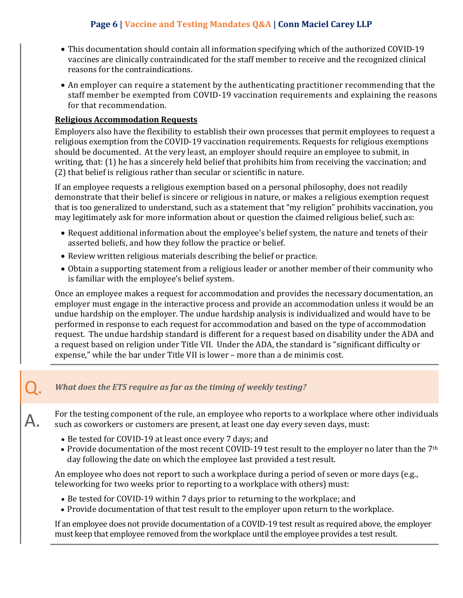# **Page 6 | Vaccine and Testing Mandates Q&A | Conn Maciel Carey LLP**

- This documentation should contain all information specifying which of the authorized COVID-19 vaccines are clinically contraindicated for the staff member to receive and the recognized clinical reasons for the contraindications.
- An employer can require a statement by the authenticating practitioner recommending that the staff member be exempted from COVID-19 vaccination requirements and explaining the reasons for that recommendation.

### **Religious Accommodation Requests**

Employers also have the flexibility to establish their own processes that permit employees to request a religious exemption from the COVID-19 vaccination requirements. Requests for religious exemptions should be documented. At the very least, an employer should require an employee to submit, in writing, that: (1) he has a sincerely held belief that prohibits him from receiving the vaccination; and (2) that belief is religious rather than secular or scientific in nature.

If an employee requests a religious exemption based on a personal philosophy, does not readily demonstrate that their belief is sincere or religious in nature, or makes a religious exemption request that is too generalized to understand, such as a statement that "my religion" prohibits vaccination, you may legitimately ask for more information about or question the claimed religious belief, such as:

- Request additional information about the employee's belief system, the nature and tenets of their asserted beliefs, and how they follow the practice or belief.
- Review written religious materials describing the belief or practice.
- Obtain a supporting statement from a religious leader or another member of their community who is familiar with the employee's belief system.

Once an employee makes a request for accommodation and provides the necessary documentation, an employer must engage in the interactive process and provide an accommodation unless it would be an undue hardship on the employer. The undue hardship analysis is individualized and would have to be performed in response to each request for accommodation and based on the type of accommodation request. The undue hardship standard is different for a request based on disability under the ADA and a request based on religion under Title VII. Under the ADA, the standard is "significant difficulty or expense," while the bar under Title VII is lower – more than a de minimis cost.

### What does the ETS require as far as the timing of weekly testing?

For the testing component of the rule, an employee who reports to a workplace where other individuals<br>Such as coworkers or customers are present, at least one day every seven days, must:

- Be tested for COVID-19 at least once every 7 days; and
- Provide documentation of the most recent COVID-19 test result to the employer no later than the 7<sup>th</sup> day following the date on which the employee last provided a test result.

An employee who does not report to such a workplace during a period of seven or more days (e.g., teleworking for two weeks prior to reporting to a workplace with others) must:

- Be tested for COVID-19 within 7 days prior to returning to the workplace; and
- Provide documentation of that test result to the employer upon return to the workplace.

If an employee does not provide documentation of a COVID-19 test result as required above, the employer must keep that employee removed from the workplace until the employee provides a test result.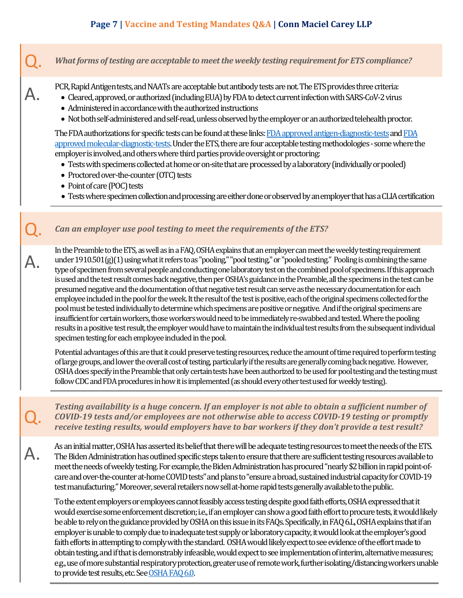# **Page 7 | Vaccine and Testing Mandates Q&A | Conn Maciel Carey LLP**

What forms of testing are acceptable to meet the weekly testing requirement for ETS compliance? PCR, Rapid Antigen tests, and NAATs are acceptable but antibody tests are not. The ETS provides three criteria:<br>• Cleared, approved, or authorized (including EUA) by FDA to detect current infection with SARS-CoV-2 virus • Administered in accordance with the authorized instructions • Not both self-administered and self-read, unless observed by the employer or an authorized telehealth proctor. The FDA authorizations for specific tests can be found at these links: FDA approved antigen-diagnostic-tests and FDA [approved molecular-diagnostic-tests.](https://www.fda.gov/medical-devices/coronavirus-disease-2019-covid-19-emergency-use-authorizations-medical-devices/in-vitro-diagnostics-euas-molecular-diagnostic-tests-sars-cov-2) Under the ETS, there are four acceptable testing methodologies - some where the employer is involved, and others where third parties provide oversight or proctoring: • Tests with specimens collected at home or on-site that are processed by a laboratory (individually or pooled) • Proctored over-the-counter (OTC) tests • Point of care (POC) tests • Tests where specimen collection and processing are either done or observed by an employer that has a CLIA certification Can an employer use pool testing to meet the requirements of the ETS? A. In the Preamble to the ETS, as well as in a FAQ, OSHA explains that an employer can meet the weekly testing requirement under 1910.501(g)(1) using what it refers to as "pooling," "pool testing," or "pooled testing." Pooling is combining the same type of specimen from several people and conducting one laboratory test on the combined pool of specimens. If this approach is used and the test result comes back negative, then per OSHA's guidance in the Preamble, all the specimens in the test can be presumed negative and the documentation of that negative test result can serve as the necessary documentation for each employee included in the pool for the week. It the result of the test is positive, each of the original specimens collected for the pool must be tested individually to determine which specimens are positive or negative. And if the original specimens are insufficient for certain workers, those workers would need to be immediately re-swabbed and tested. Where the pooling results in a positive test result, the employer would have to maintain the individual test results from the subsequent individual specimen testing for each employee included in the pool. Potential advantages of this are that it could preserve testing resources, reduce the amount of time required to perform testing of large groups, and lower the overall cost of testing, particularly if the results are generally coming back negative. However, OSHA does specify in the Preamble that only certain tests have been authorized to be used for pool testing and the testing must follow CDC and FDA procedures in how it is implemented (as should every other test used for weekly testing). **Testing availability is a huge concern. If an employer is not able to obtain a sufficient number of**<br>**COVID-19 tests and/or employees are not otherwise able to access COVID-19 testing or promptly**<br>**COVID-19 tests and/or e** *COVID-19 tests and/or employees are not otherwise able to access COVID-19 testing or promptly receive testing results, would employers have to bar workers if they don't provide a test result?* As an initial matter, OSHA has asserted its belief that there will be adequate testing resources to meet the needs of the ETS.<br>The Biden Administration has outlined specific steps taken to ensure that there are sufficient meet the needs of weekly testing. For example, the Biden Administration has procured "nearly \$2 billion in rapid point-ofcare and over-the-counter at-home COVID tests" and plans to "ensure a broad, sustained industrial capacity for COVID-19

To the extent employers or employees cannot feasibly access testing despite good faith efforts, OSHA expressed that it would exercise some enforcement discretion; i.e., if an employer can show a good faith effort to procure tests, it would likely be able to rely on the guidance provided by OSHA on this issue in its FAQs.Specifically, in FAQ 6.L, OSHA explains that if an employer is unable to comply due to inadequate test supply or laboratory capacity, it would look at the employer's good faith efforts in attempting to comply with the standard. OSHA would likely expect to see evidence of the effort made to obtain testing, and if that is demonstrably infeasible, would expect to see implementation of interim, alternative measures; e.g., use of more substantial respiratory protection, greater use of remote work, further isolating/distancing workers unable to provide test results, etc.Se[e OSHA FAQ 6.0.](https://www.osha.gov/coronavirus/ets2/faqs)

test manufacturing." Moreover, several retailers nowsell at-home rapid tests generally available to the public.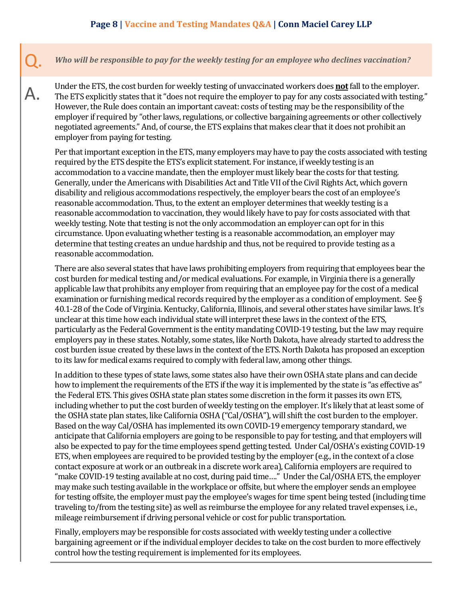## **Page 8 | Vaccine and Testing Mandates Q&A | Conn Maciel Carey LLP**

Q. *Who will be responsible to pay for the weekly testing for an employee who declines vaccination?*

Under the ETS, the cost burden for weekly testing of unvaccinated workers does **<u>not</u>** fall to the employer.<br>The ETS explicitly states that it "does not require the employer to pay for any costs associated with testing The ETS explicitly states that it "does not require the employer to pay for any costs associated with testing." However, the Rule does contain an important caveat: costs of testing may be the responsibility of the employer if required by "other laws, regulations, or collective bargaining agreements or other collectively negotiated agreements." And, of course, the ETS explains that makes clear that it does not prohibit an employer from paying for testing.

Per that important exception in the ETS, many employers may have to pay the costs associated with testing required by the ETS despite the ETS's explicit statement. For instance, if weekly testing is an accommodation to a vaccine mandate, then the employer must likely bear the costs for that testing. Generally, under the Americans with Disabilities Act and Title VII of the Civil Rights Act, which govern disability and religious accommodations respectively, the employer bears the cost of an employee's reasonable accommodation. Thus, to the extent an employer determines that weekly testing is a reasonable accommodation to vaccination, they would likely have to pay for costs associated with that weekly testing. Note that testing is not the only accommodation an employer can opt for in this circumstance. Upon evaluating whether testing is a reasonable accommodation, an employer may determine that testing creates an undue hardship and thus, not be required to provide testing as a reasonable accommodation.

There are also several states that have laws prohibiting employers from requiring that employees bear the cost burden for medical testing and/or medical evaluations. For example, in Virginia there is a generally applicable law that prohibits any employer from requiring that an employee pay for the cost of a medical examination or furnishing medical records required by the employer as a condition of employment. See § 40.1-28 of the Code of Virginia. Kentucky, California, Illinois, and several other states have similar laws. It's unclear at this time how each individual state will interpret these laws in the context of the ETS, particularly as the Federal Government is the entity mandating COVID-19 testing, but the law may require employers pay in these states. Notably, some states, like North Dakota, have already started to address the cost burden issue created by these laws in the context of the ETS. North Dakota has proposed an exception to its law for medical exams required to comply with federal law, among other things.

In addition to these types of state laws, some states also have their own OSHA state plans and can decide how to implement the requirements of the ETS if the way it is implemented by the state is "as effective as" the Federal ETS. This gives OSHA state plan states some discretion in the form it passes its own ETS, including whether to put the cost burden of weekly testing on the employer. It's likely that at least some of the OSHA state plan states, like California OSHA ("Cal/OSHA"), will shift the cost burden to the employer. Based on the way Cal/OSHA has implemented its own COVID-19 emergency temporary standard, we anticipate that California employers are going to be responsible to pay for testing, and that employers will also be expected to pay for the time employees spend getting tested. Under Cal/OSHA's existing COVID-19 ETS, when employees are required to be provided testing by the employer (e.g., in the context of a close contact exposure at work or an outbreak in a discrete work area), California employers are required to "make COVID-19 testing available at no cost, during paid time…." Under the Cal/OSHA ETS, the employer may make such testing available in the workplace or offsite, but where the employer sends an employee for testing offsite, the employer must pay the employee's wages for time spent being tested (including time traveling to/from the testing site) as well as reimburse the employee for any related travel expenses, i.e., mileage reimbursement if driving personal vehicle or cost for public transportation.

Finally, employers may be responsible for costs associated with weekly testing under a collective bargaining agreement or if the individual employer decides to take on the cost burden to more effectively control how the testing requirement is implemented for its employees.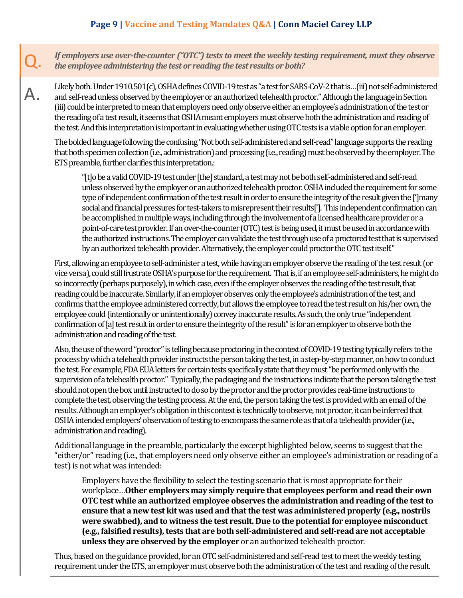# **Page 9 | Vaccine and Testing Mandates Q&A | Conn Maciel Carey LLP**

Q. *If employers use over-the-counter ("OTC") tests to meet the weekly testing requirement, must they observe the employee administering the test or reading the test results or both?*

Likely both. Under 1910.501(c), OSHA defines COVID-19 test as "a test for SARS-CoV-2 that is...(iii) not self-administered<br>A and self-read unless observed by the employer or an authorized telehealth proctor." Although the (iii) could be interpreted to mean that employers need only observe either an employee's administration of the test or the reading of a test result, it seems that OSHA meant employers must observe both the administration and reading of the test. And this interpretation is important in evaluating whether using OTC tests is a viable option for an employer.

The bolded language following the confusing "Not both self-administered and self-read" language supports the reading that both specimen collection (i.e., administration) and processing (i.e., reading) must be observed by the employer. The ETS preamble, further clarifies this interpretation.:

"[t]o be a valid COVID-19 test under [the] standard, a test may not be both self-administered and self-read unless observed by the employer or an authorized telehealth proctor. OSHA included the requirement for some type of independent confirmation of the test result in order to ensure the integrity of the result given the [']many social and financial pressures for test-takers to misrepresent their results[']. This independent confirmation can be accomplished in multiple ways, including through the involvement of a licensed healthcare provider or a point-of-care test provider. If an over-the-counter (OTC) test is being used, it must be used in accordance with the authorized instructions. The employer can validate the test through use of a proctored test that is supervised by an authorized telehealth provider. Alternatively, the employer could proctor the OTC test itself."

First, allowing an employee to self-administer a test, while having an employer observe the reading of the test result (or vice versa), could still frustrate OSHA's purpose for the requirement. That is, if an employee self-administers, he might do so incorrectly (perhaps purposely), in which case, even if the employer observes the reading of the test result, that reading could be inaccurate. Similarly, if an employer observes only the employee's administration of the test, and confirms that the employee administered correctly, but allows the employee to read the test result on his/her own, the employee could (intentionally or unintentionally) convey inaccurate results. As such, the only true "independent confirmation of [a] test result in order to ensure the integrity of the result" is for an employer to observe both the administration and reading of the test.

Also, the use of the word "proctor" is telling because proctoring in the context of COVID-19 testing typically refers to the process by which a telehealth provider instructs the person taking the test, in a step-by-step manner, on how to conduct the test. For example, FDA EUA letters for certain tests specifically state that they must "be performed only with the supervision of a telehealth proctor." Typically, the packaging and the instructions indicate that the person taking the test should not open the box until instructed to do so by the proctor and the proctor provides real-time instructions to complete the test, observing the testing process. At the end, the person taking the test is provided with an email of the results. Although an employer's obligation in this context is technically to observe, not proctor, it can be inferred that OSHA intended employers' observation of testing to encompass the same role as that of a telehealth provider (i.e., administration and reading).

Additional language in the preamble, particularly the excerpt highlighted below, seems to suggest that the "either/or" reading (i.e., that employers need only observe either an employee's administration or reading of a test) is not what was intended:

Employers have the flexibility to select the testing scenario that is most appropriate for their workplace…**Other employers may simply require that employees perform and read their own OTC test while an authorized employee observes the administration and reading of the test to ensure that a new test kit was used and that the test was administered properly (e.g., nostrils were swabbed), and to witness the test result. Due to the potential for employee misconduct (e.g., falsified results), tests that are both self-administered and self-read are not acceptable unless they are observed by the employer** or an authorized telehealth proctor.

Thus, based on the guidance provided, for an OTC self-administered and self-read test to meet the weekly testing requirement under the ETS, an employer must observe both the administration of the test and reading of the result.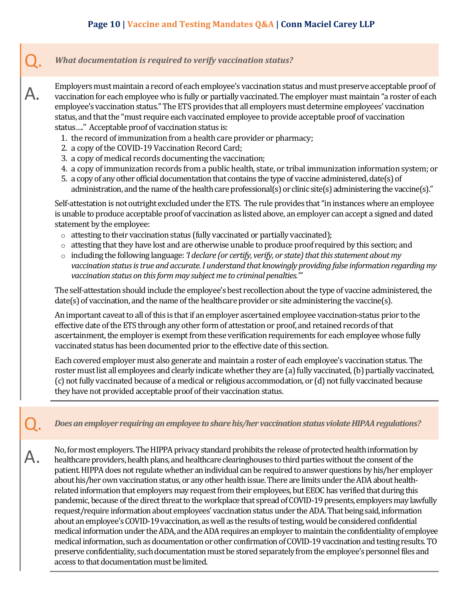## Q. *What documentation is required to verify vaccination status?*

Employers must maintain a record of each employee's vaccination status and must preserve acceptable proof of<br>A. vaccination for each employee who is fully or partially vaccinated. The employer must maintain "a roster of e employee's vaccination status." The ETS provides that all employers must determine employees' vaccination status, and that the "must require each vaccinated employee to provide acceptable proof of vaccination status…." Acceptable proof of vaccination status is:

- 1. the record of immunization from a health care provider or pharmacy;
- 2. a copy of the COVID-19 Vaccination Record Card;
- 3. a copy of medical records documenting the vaccination;
- 4. a copy of immunization records from a public health, state, or tribal immunization information system; or
- 5. a copy of any other official documentation that contains the type of vaccine administered, date(s) of administration, and the name of the health care professional(s) or clinic site(s) administering the vaccine(s)."

Self-attestation is not outright excluded under the ETS. The rule provides that "in instances where an employee is unable to produce acceptable proof of vaccination as listed above, an employer can accept a signed and dated statement by the employee:

- o attesting to their vaccination status (fully vaccinated or partially vaccinated);
- o attesting that they have lost and are otherwise unable to produce proof required by this section; and
- o including the following language: *'I declare (or certify, verify, or state) that this statement about my vaccination status is true and accurate. I understand that knowingly providing false information regarding my vaccination status on this form may subject me to criminal penalties.'"*

The self-attestation should include the employee's best recollection about the type of vaccine administered, the date(s) of vaccination, and the name of the healthcare provider or site administering the vaccine(s).

An important caveat to all of this is that if an employer ascertained employee vaccination-status prior to the effective date of the ETS through any other form of attestation or proof, and retained records of that ascertainment, the employer is exempt from these verification requirements for each employee whose fully vaccinated status has been documented prior to the effective date of this section.

Each covered employer must also generate and maintain a roster of each employee's vaccination status. The roster must list all employees and clearly indicate whether they are (a) fully vaccinated, (b) partially vaccinated, (c) not fully vaccinated because of a medical or religious accommodation, or (d) not fully vaccinated because they have not provided acceptable proof of their vaccination status.

Q. *Does an employer requiring an employee to share his/her vaccination status violate HIPAA regulations?*

No, for most employers. The HIPPA privacy standard prohibits the release of protected health information by healthcare providers, health plans, and healthcare clearinghouses to third parties without the consent of the patient. HIPPA does not regulate whether an individual can be required to answer questions by his/her employer about his/her own vaccination status, or any other health issue. There are limits under the ADA about healthrelated information that employers may request from their employees, but EEOC has verified that during this pandemic, because of the direct threat to the workplace that spread of COVID-19 presents, employers may lawfully request/require information about employees' vaccination status under the ADA. That being said, information about an employee's COVID-19 vaccination, as well as the results of testing, would be considered confidential medical information under the ADA, and the ADA requires an employer to maintain the confidentiality of employee medical information, such as documentation or other confirmation of COVID-19 vaccination and testing results. TO preserve confidentiality, such documentation must be stored separately from the employee's personnel files and access to that documentation must be limited.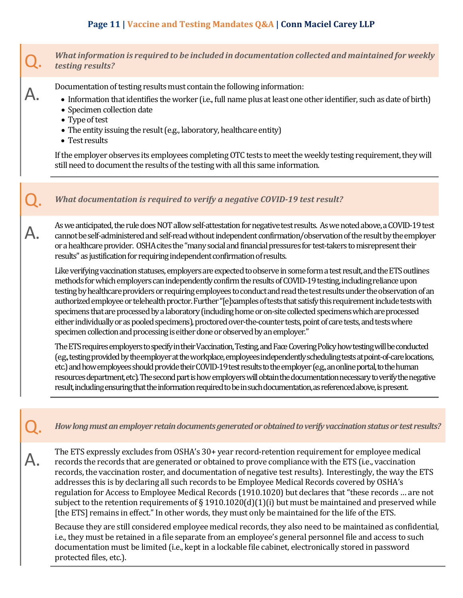# **Page 11 | Vaccine and Testing Mandates Q&A | Conn Maciel Carey LLP**

## Q. *What information is required to be included in documentation collected and maintained for weekly testing results?*

- **A.** Documentation of testing results must contain the following information:<br>• Information that identifies the worker (i.e., full name plus at least one other identifier, such as date of birth)
	- Specimen collection date
	- Type of test
	- The entity issuing the result (e.g., laboratory, healthcare entity)
	- Test results

If the employer observes its employees completing OTC tests to meet the weekly testing requirement, they will still need to document the results of the testing with all this same information.

## What documentation is required to verify a negative COVID-19 test result?

As we anticipated, the rule does NOT allow self-attestation for negative test results. As we noted above, a COVID-19 test<br>Cannot be self-administered and self-read without independent confirmation/observation of the resul or a healthcare provider. OSHA cites the "many social and financial pressures for test-takers to misrepresent their results" as justification for requiring independent confirmation of results.

Like verifying vaccination statuses, employers are expected to observe in some form a test result, and the ETS outlines methods for which employers can independently confirm the results of COVID-19 testing, including reliance upon testing by healthcare providers or requiring employees to conduct and read the test results under the observation of an authorized employee or telehealth proctor. Further "[e]xamples of tests that satisfy this requirement include tests with specimens that are processed by a laboratory (including home or on-site collected specimens which are processed either individually or as pooled specimens), proctored over-the-counter tests, point of care tests, and tests where specimen collection and processing is either done or observed by an employer."

The ETS requires employers to specify in their Vaccination, Testing, and Face Covering Policy how testing will be conducted (e.g., testing provided by the employer at the workplace, employees independently scheduling tests at point-of-care locations, etc.) and how employees should provide their COVID-19 test results to the employer (e.g., an online portal, to the human resources department, etc)*.*The second part is how employers will obtain the documentation necessary to verify the negative result, including ensuring that the information required to be in such documentation, as referenced above, is present.

Q. *How long must an employer retain documents generated or obtained to verify vaccination status or test results?*

The ETS expressly excludes from OSHA's 30+ year record-retention requirement for employee medical<br>records the records that are generated or obtained to prove compliance with the ETS (i.e., vaccination records, the vaccination roster, and documentation of negative test results). Interestingly, the way the ETS addresses this is by declaring all such records to be Employee Medical Records covered by OSHA's regulation for Access to Employee Medical Records (1910.1020) but declares that "these records … are not subject to the retention requirements of § 1910.1020(d)(1)(i) but must be maintained and preserved while [the ETS] remains in effect." In other words, they must only be maintained for the life of the ETS.

Because they are still considered employee medical records, they also need to be maintained as confidential, i.e., they must be retained in a file separate from an employee's general personnel file and access to such documentation must be limited (i.e., kept in a lockable file cabinet, electronically stored in password protected files, etc.).